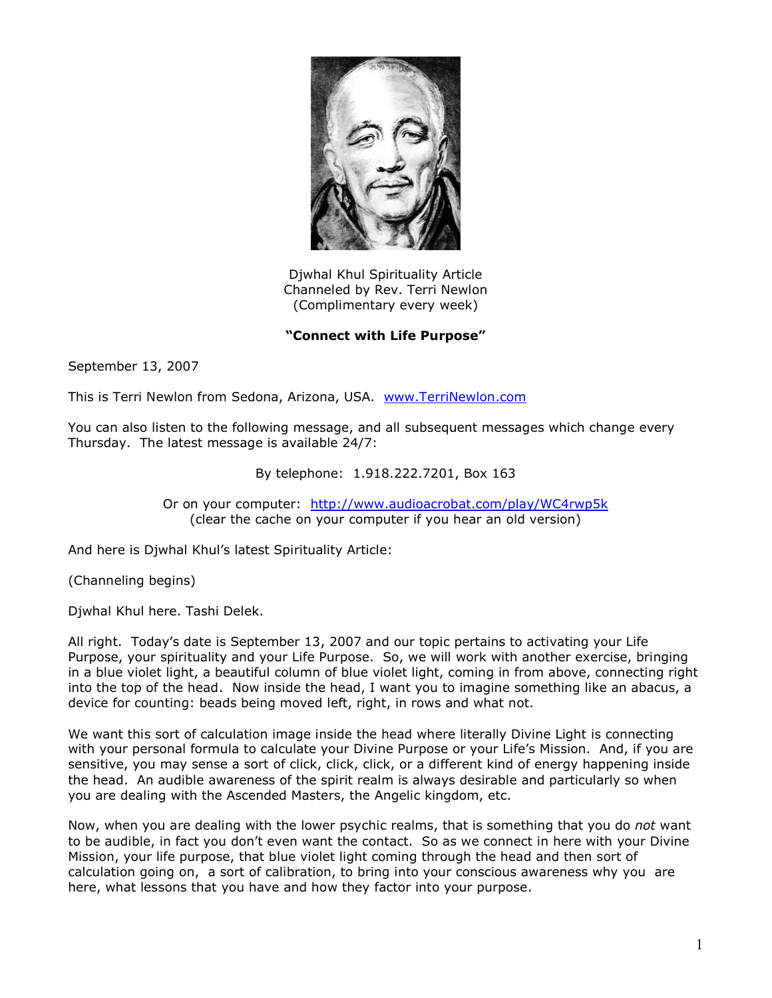

Djwhal Khul Spirituality Article Channeled by Rev. Terri Newlon (Complimentary every week)

**"Connect with Life Purpose"**

September 13, 2007

This is Terri Newlon from Sedona, Arizona, USA. [www.TerriNewlon.com](http://www.terrinewlon.com/)

You can also listen to the following message, and all subsequent messages which change every Thursday. The latest message is available 24/7:

By telephone: 1.918.222.7201, Box 163

Or on your computer: <http://www.audioacrobat.com/play/WC4rwp5k> (clear the cache on your computer if you hear an old version)

And here is Djwhal Khul's latest Spirituality Article:

(Channeling begins)

Djwhal Khul here. Tashi Delek.

All right. Today's date is September 13, 2007 and our topic pertains to activating your Life Purpose, your spirituality and your Life Purpose. So, we will work with another exercise, bringing in a blue violet light, a beautiful column of blue violet light, coming in from above, connecting right into the top of the head. Now inside the head, I want you to imagine something like an abacus, a device for counting: beads being moved left, right, in rows and what not.

We want this sort of calculation image inside the head where literally Divine Light is connecting with your personal formula to calculate your Divine Purpose or your Life's Mission. And, if you are sensitive, you may sense a sort of click, click, click, or a different kind of energy happening inside the head. An audible awareness of the spirit realm is always desirable and particularly so when you are dealing with the Ascended Masters, the Angelic kingdom, etc.

Now, when you are dealing with the lower psychic realms, that is something that you do *not* want to be audible, in fact you don't even want the contact. So as we connect in here with your Divine Mission, your life purpose, that blue violet light coming through the head and then sort of calculation going on, a sort of calibration, to bring into your conscious awareness why you are here, what lessons that you have and how they factor into your purpose.